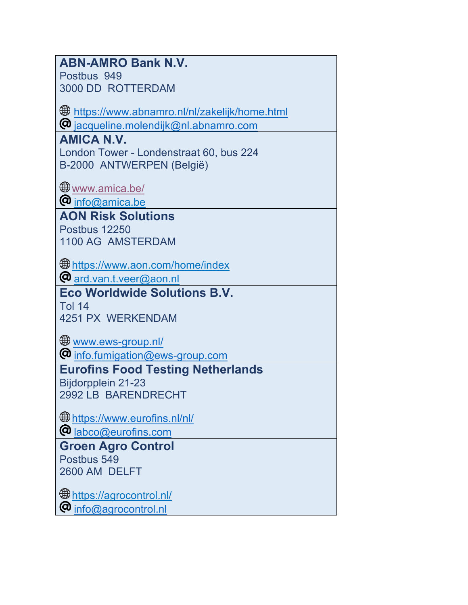| <b>ABN-AMRO Bank N.V.</b>                               |
|---------------------------------------------------------|
| Postbus 949                                             |
| 3000 DD ROTTERDAM                                       |
|                                                         |
| <b>\$#</b> https://www.abnamro.nl/nl/zakelijk/home.html |
| @ jacqueline.molendijk@nl.abnamro.com                   |
| <b>AMICA N.V.</b>                                       |
| London Tower - Londenstraat 60, bus 224                 |
| B-2000 ANTWERPEN (België)                               |
|                                                         |
| <b>Www.amica.be/</b>                                    |
| $\bm{\varnothing}$ info $\widehat{\omega}$ amica.be     |
| <b>AON Risk Solutions</b>                               |
| Postbus 12250                                           |
| 1100 AG AMSTERDAM                                       |
|                                                         |
| <b>Ethnetic metallishm manuform in the find ex</b>      |
| @ ard.van.t.veer@aon.nl                                 |
| <b>Eco Worldwide Solutions B.V.</b>                     |
| <b>Tol 14</b>                                           |
| 4251 PX WERKENDAM                                       |
|                                                         |
|                                                         |
| <u>Www.ews-group.nl/</u>                                |
| <b>@</b> info.fumigation@ews-group.com                  |
| <b>Eurofins Food Testing Netherlands</b>                |
| Bijdorpplein 21-23                                      |
| 2992 LB BARENDRECHT                                     |
|                                                         |
| the https://www.eurofins.nl/nl/                         |
| @ <u>labco@eurofins.com</u>                             |
| <b>Groen Agro Control</b>                               |
| Postbus 549                                             |
| 2600 AM DELFT                                           |
|                                                         |
| the https://agrocontrol.nl/<br>@<br>info@agrocontrol.nl |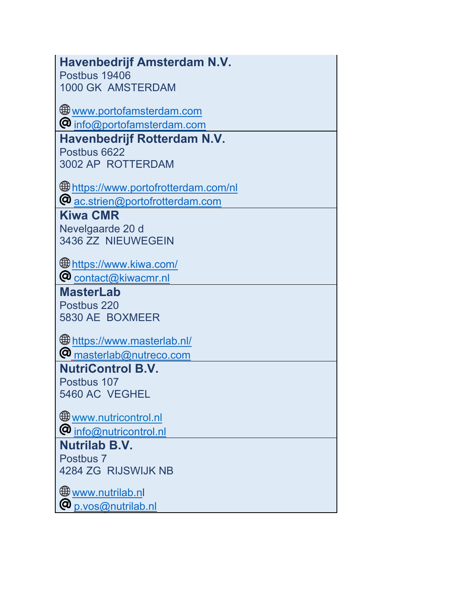| Havenbedrijf Amsterdam N.V.                  |
|----------------------------------------------|
| Postbus 19406                                |
| 1000 GK AMSTERDAM                            |
| <b>Www.portofamsterdam.com</b>               |
| @ info@portofamsterdam.com                   |
| <b>Havenbedrijf Rotterdam N.V.</b>           |
| Postbus 6622                                 |
| 3002 AP ROTTERDAM                            |
|                                              |
|                                              |
| @ ac.strien@portofrotterdam.com              |
| <b>Kiwa CMR</b>                              |
| Nevelgaarde 20 d                             |
| 3436 ZZ NIEUWEGEIN                           |
|                                              |
|                                              |
| $\boldsymbol{\omega}$ contact@kiwacmr.nl     |
| <b>MasterLab</b>                             |
| Postbus 220                                  |
| 5830 AE BOXMEER                              |
|                                              |
| the https://www.masterlab.nl/                |
| @ <sub>masterlab@nutreco.com</sub>           |
| <b>NutriControl B.V.</b>                     |
| Postbus 107                                  |
| 5460 AC VEGHEL                               |
| <b>Www.nutricontrol.nl</b>                   |
| <b>@</b> info@nutricontrol.nl                |
| <b>Nutrilab B.V.</b>                         |
| Postbus 7                                    |
| 4284 ZG RIJSWIJK NB                          |
|                                              |
|                                              |
| $\boldsymbol{\varnothing}$ p.vos@nutrilab.nl |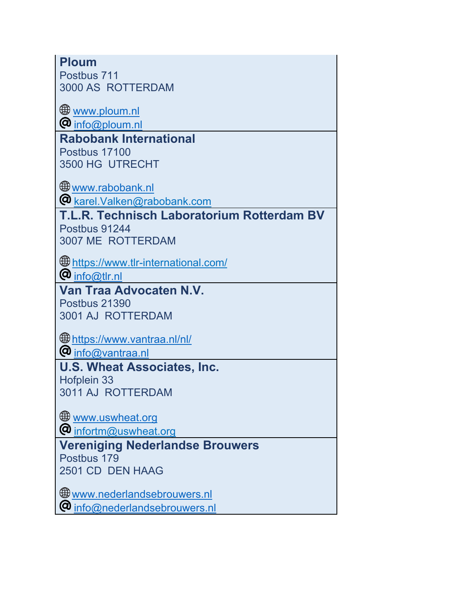| Postbus 711                                                     |
|-----------------------------------------------------------------|
| 3000 AS ROTTERDAM                                               |
| <u>Www.ploum.nl</u><br>$\boldsymbol{\omega}$ info@ploum.nl      |
| <b>Rabobank International</b>                                   |
| Postbus 17100                                                   |
| 3500 HG UTRECHT                                                 |
| <b>₩ww.rabobank.nl</b>                                          |
| @ karel.Valken@rabobank.com                                     |
| T.L.R. Technisch Laboratorium Rotterdam BV                      |
| Postbus 91244<br><b>3007 ME ROTTERDAM</b>                       |
|                                                                 |
| the https://www.tlr-international.com/                          |
| $\bm{\varnothing}$ info@tlr.nl                                  |
| Van Traa Advocaten N.V.                                         |
|                                                                 |
| Postbus 21390                                                   |
| 3001 AJ ROTTERDAM                                               |
| https://www.vantraa.nl/nl/                                      |
| @ info@vantraa.nl                                               |
| <b>U.S. Wheat Associates, Inc.</b>                              |
| Hofplein 33                                                     |
| 3011 AJ ROTTERDAM                                               |
|                                                                 |
| <b>WWW.uswheat.org</b>                                          |
| @ infortm@uswheat.org<br><b>Vereniging Nederlandse Brouwers</b> |
| Postbus 179                                                     |
| 2501 CD DEN HAAG                                                |
| Www.nederlandsebrouwers.nl                                      |